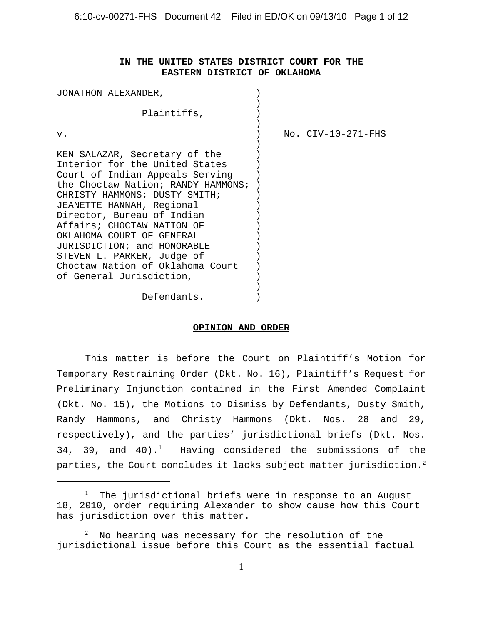## **IN THE UNITED STATES DISTRICT COURT FOR THE EASTERN DISTRICT OF OKLAHOMA**

| JONATHON ALEXANDER,                |                        |
|------------------------------------|------------------------|
| Plaintiffs,                        |                        |
| v.                                 | $No.$ $CIV-10-271-FHS$ |
| KEN SALAZAR, Secretary of the      |                        |
| Interior for the United States     |                        |
| Court of Indian Appeals Serving    |                        |
| the Choctaw Nation; RANDY HAMMONS; |                        |
| CHRISTY HAMMONS; DUSTY SMITH;      |                        |
| JEANETTE HANNAH, Regional          |                        |
| Director, Bureau of Indian         |                        |
| Affairs; CHOCTAW NATION OF         |                        |
| OKLAHOMA COURT OF GENERAL          |                        |
| JURISDICTION; and HONORABLE        |                        |
| STEVEN L. PARKER, Judge of         |                        |
| Choctaw Nation of Oklahoma Court   |                        |
| of General Jurisdiction,           |                        |
|                                    |                        |
| Defendants.                        |                        |

#### **OPINION AND ORDER**

This matter is before the Court on Plaintiff's Motion for Temporary Restraining Order (Dkt. No. 16), Plaintiff's Request for Preliminary Injunction contained in the First Amended Complaint (Dkt. No. 15), the Motions to Dismiss by Defendants, Dusty Smith, Randy Hammons, and Christy Hammons (Dkt. Nos. 28 and 29, respectively), and the parties' jurisdictional briefs (Dkt. Nos. 34, 39, and  $40$ ).<sup>1</sup> Having considered the submissions of the parties, the Court concludes it lacks subject matter jurisdiction.<sup>2</sup>

<sup>&</sup>lt;sup>1</sup> The jurisdictional briefs were in response to an August 18, 2010, order requiring Alexander to show cause how this Court has jurisdiction over this matter.

 $^{\rm 2}$  No hearing was necessary for the resolution of the jurisdictional issue before this Court as the essential factual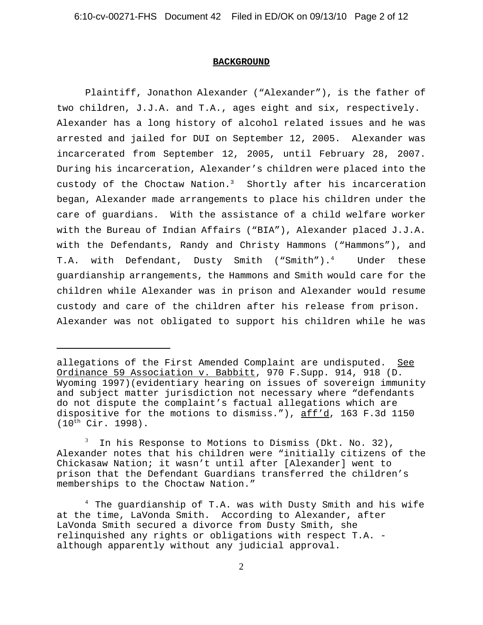#### **BACKGROUND**

Plaintiff, Jonathon Alexander ("Alexander"), is the father of two children, J.J.A. and T.A., ages eight and six, respectively. Alexander has a long history of alcohol related issues and he was arrested and jailed for DUI on September 12, 2005. Alexander was incarcerated from September 12, 2005, until February 28, 2007. During his incarceration, Alexander's children were placed into the custody of the Choctaw Nation.<sup>3</sup> Shortly after his incarceration began, Alexander made arrangements to place his children under the care of guardians. With the assistance of a child welfare worker with the Bureau of Indian Affairs ("BIA"), Alexander placed J.J.A. with the Defendants, Randy and Christy Hammons ("Hammons"), and T.A. with Defendant, Dusty Smith ("Smith").<sup>4</sup> Under these guardianship arrangements, the Hammons and Smith would care for the children while Alexander was in prison and Alexander would resume custody and care of the children after his release from prison. Alexander was not obligated to support his children while he was

allegations of the First Amended Complaint are undisputed. See Ordinance 59 Association v. Babbitt, 970 F.Supp. 914, 918 (D. Wyoming 1997)(evidentiary hearing on issues of sovereign immunity and subject matter jurisdiction not necessary where "defendants do not dispute the complaint's factual allegations which are dispositive for the motions to dismiss."), aff'd, 163 F.3d 1150  $(10^{th}$  Cir. 1998).

 $^3$  In his Response to Motions to Dismiss (Dkt. No. 32), Alexander notes that his children were "initially citizens of the Chickasaw Nation; it wasn't until after [Alexander] went to prison that the Defendant Guardians transferred the children's memberships to the Choctaw Nation."

 $^4$  The guardianship of T.A. was with Dusty Smith and his wife at the time, LaVonda Smith. According to Alexander, after LaVonda Smith secured a divorce from Dusty Smith, she relinquished any rights or obligations with respect T.A. although apparently without any judicial approval.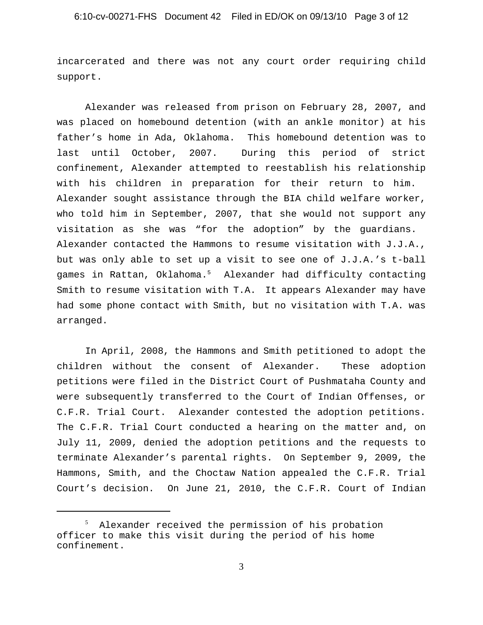incarcerated and there was not any court order requiring child support.

Alexander was released from prison on February 28, 2007, and was placed on homebound detention (with an ankle monitor) at his father's home in Ada, Oklahoma. This homebound detention was to last until October, 2007. During this period of strict confinement, Alexander attempted to reestablish his relationship with his children in preparation for their return to him. Alexander sought assistance through the BIA child welfare worker, who told him in September, 2007, that she would not support any visitation as she was "for the adoption" by the guardians. Alexander contacted the Hammons to resume visitation with J.J.A., but was only able to set up a visit to see one of J.J.A.'s t-ball games in Rattan, Oklahoma.5 Alexander had difficulty contacting Smith to resume visitation with T.A. It appears Alexander may have had some phone contact with Smith, but no visitation with T.A. was arranged.

In April, 2008, the Hammons and Smith petitioned to adopt the children without the consent of Alexander. These adoption petitions were filed in the District Court of Pushmataha County and were subsequently transferred to the Court of Indian Offenses, or C.F.R. Trial Court. Alexander contested the adoption petitions. The C.F.R. Trial Court conducted a hearing on the matter and, on July 11, 2009, denied the adoption petitions and the requests to terminate Alexander's parental rights. On September 9, 2009, the Hammons, Smith, and the Choctaw Nation appealed the C.F.R. Trial Court's decision. On June 21, 2010, the C.F.R. Court of Indian

<sup>5</sup> Alexander received the permission of his probation officer to make this visit during the period of his home confinement.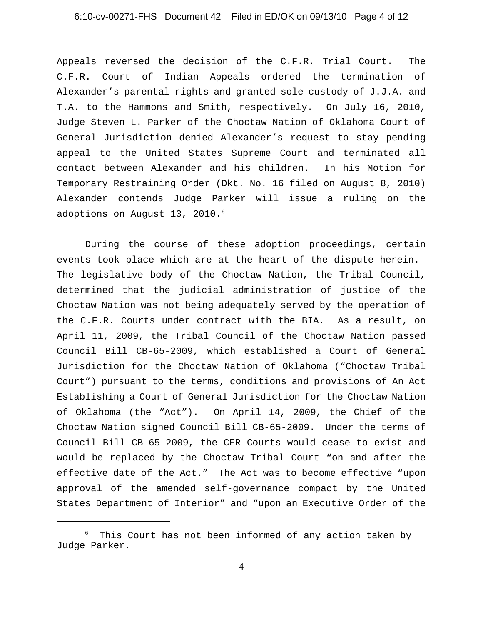# 6:10-cv-00271-FHS Document 42 Filed in ED/OK on 09/13/10 Page 4 of 12

Appeals reversed the decision of the C.F.R. Trial Court. The C.F.R. Court of Indian Appeals ordered the termination of Alexander's parental rights and granted sole custody of J.J.A. and T.A. to the Hammons and Smith, respectively. On July 16, 2010, Judge Steven L. Parker of the Choctaw Nation of Oklahoma Court of General Jurisdiction denied Alexander's request to stay pending appeal to the United States Supreme Court and terminated all contact between Alexander and his children. In his Motion for Temporary Restraining Order (Dkt. No. 16 filed on August 8, 2010) Alexander contends Judge Parker will issue a ruling on the adoptions on August 13, 2010.<sup>6</sup>

During the course of these adoption proceedings, certain events took place which are at the heart of the dispute herein. The legislative body of the Choctaw Nation, the Tribal Council, determined that the judicial administration of justice of the Choctaw Nation was not being adequately served by the operation of the C.F.R. Courts under contract with the BIA. As a result, on April 11, 2009, the Tribal Council of the Choctaw Nation passed Council Bill CB-65-2009, which established a Court of General Jurisdiction for the Choctaw Nation of Oklahoma ("Choctaw Tribal Court") pursuant to the terms, conditions and provisions of An Act Establishing a Court of General Jurisdiction for the Choctaw Nation of Oklahoma (the "Act"). On April 14, 2009, the Chief of the Choctaw Nation signed Council Bill CB-65-2009. Under the terms of Council Bill CB-65-2009, the CFR Courts would cease to exist and would be replaced by the Choctaw Tribal Court "on and after the effective date of the Act." The Act was to become effective "upon approval of the amended self-governance compact by the United States Department of Interior" and "upon an Executive Order of the

<sup>6</sup> This Court has not been informed of any action taken by Judge Parker.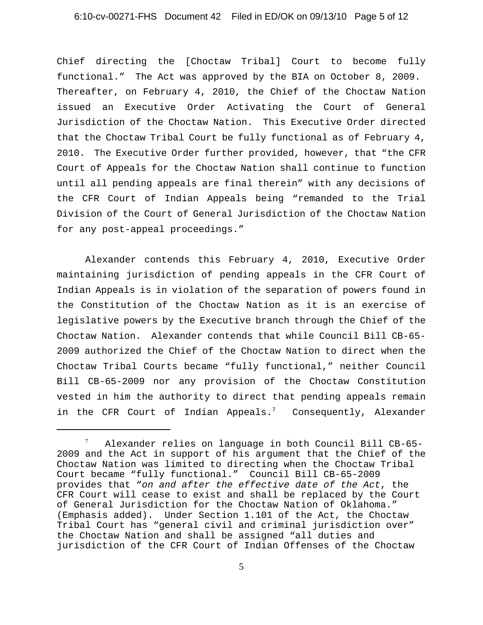### 6:10-cv-00271-FHS Document 42 Filed in ED/OK on 09/13/10 Page 5 of 12

Chief directing the [Choctaw Tribal] Court to become fully functional." The Act was approved by the BIA on October 8, 2009. Thereafter, on February 4, 2010, the Chief of the Choctaw Nation issued an Executive Order Activating the Court of General Jurisdiction of the Choctaw Nation. This Executive Order directed that the Choctaw Tribal Court be fully functional as of February 4, 2010. The Executive Order further provided, however, that "the CFR Court of Appeals for the Choctaw Nation shall continue to function until all pending appeals are final therein" with any decisions of the CFR Court of Indian Appeals being "remanded to the Trial Division of the Court of General Jurisdiction of the Choctaw Nation for any post-appeal proceedings."

Alexander contends this February 4, 2010, Executive Order maintaining jurisdiction of pending appeals in the CFR Court of Indian Appeals is in violation of the separation of powers found in the Constitution of the Choctaw Nation as it is an exercise of legislative powers by the Executive branch through the Chief of the Choctaw Nation. Alexander contends that while Council Bill CB-65- 2009 authorized the Chief of the Choctaw Nation to direct when the Choctaw Tribal Courts became "fully functional," neither Council Bill CB-65-2009 nor any provision of the Choctaw Constitution vested in him the authority to direct that pending appeals remain in the CFR Court of Indian Appeals.<sup>7</sup> Consequently, Alexander

<sup>7</sup> Alexander relies on language in both Council Bill CB-65- 2009 and the Act in support of his argument that the Chief of the Choctaw Nation was limited to directing when the Choctaw Tribal Court became "fully functional." Council Bill CB-65-2009 provides that "*on and after the effective date of the Act*, the CFR Court will cease to exist and shall be replaced by the Court of General Jurisdiction for the Choctaw Nation of Oklahoma." (Emphasis added). Under Section 1.101 of the Act, the Choctaw Tribal Court has "general civil and criminal jurisdiction over" the Choctaw Nation and shall be assigned "all duties and jurisdiction of the CFR Court of Indian Offenses of the Choctaw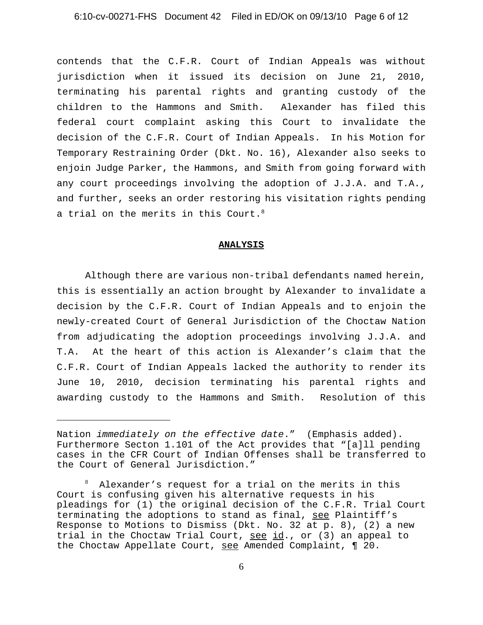# 6:10-cv-00271-FHS Document 42 Filed in ED/OK on 09/13/10 Page 6 of 12

contends that the C.F.R. Court of Indian Appeals was without jurisdiction when it issued its decision on June 21, 2010, terminating his parental rights and granting custody of the children to the Hammons and Smith. Alexander has filed this federal court complaint asking this Court to invalidate the decision of the C.F.R. Court of Indian Appeals. In his Motion for Temporary Restraining Order (Dkt. No. 16), Alexander also seeks to enjoin Judge Parker, the Hammons, and Smith from going forward with any court proceedings involving the adoption of J.J.A. and T.A., and further, seeks an order restoring his visitation rights pending a trial on the merits in this Court.<sup>8</sup>

#### **ANALYSIS**

Although there are various non-tribal defendants named herein, this is essentially an action brought by Alexander to invalidate a decision by the C.F.R. Court of Indian Appeals and to enjoin the newly-created Court of General Jurisdiction of the Choctaw Nation from adjudicating the adoption proceedings involving J.J.A. and T.A. At the heart of this action is Alexander's claim that the C.F.R. Court of Indian Appeals lacked the authority to render its June 10, 2010, decision terminating his parental rights and awarding custody to the Hammons and Smith. Resolution of this

Nation *immediately on the effective date*." (Emphasis added). Furthermore Secton 1.101 of the Act provides that "[a]ll pending cases in the CFR Court of Indian Offenses shall be transferred to the Court of General Jurisdiction."

<sup>8</sup> Alexander's request for a trial on the merits in this Court is confusing given his alternative requests in his pleadings for (1) the original decision of the C.F.R. Trial Court terminating the adoptions to stand as final, see Plaintiff's Response to Motions to Dismiss (Dkt. No. 32 at p. 8), (2) a new trial in the Choctaw Trial Court,  $\frac{\text{see id}}{\text{and if}}$ , or (3) an appeal to the Choctaw Appellate Court, see Amended Complaint, ¶ 20.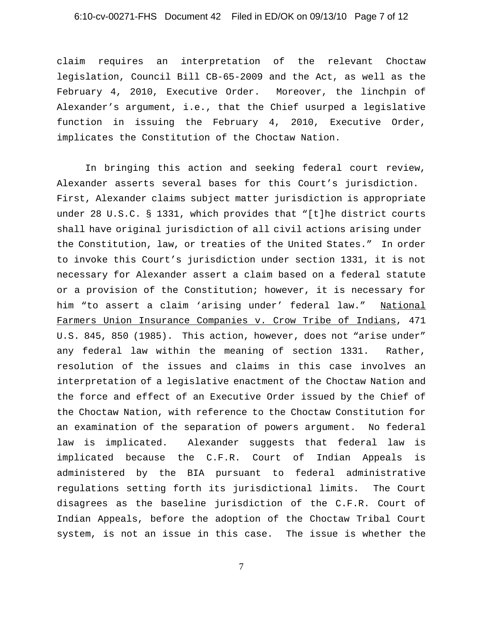# 6:10-cv-00271-FHS Document 42 Filed in ED/OK on 09/13/10 Page 7 of 12

claim requires an interpretation of the relevant Choctaw legislation, Council Bill CB-65-2009 and the Act, as well as the February 4, 2010, Executive Order. Moreover, the linchpin of Alexander's argument, i.e., that the Chief usurped a legislative function in issuing the February 4, 2010, Executive Order, implicates the Constitution of the Choctaw Nation.

In bringing this action and seeking federal court review, Alexander asserts several bases for this Court's jurisdiction. First, Alexander claims subject matter jurisdiction is appropriate under 28 U.S.C. § 1331, which provides that "[t]he district courts shall have original jurisdiction of all civil actions arising under the Constitution, law, or treaties of the United States." In order to invoke this Court's jurisdiction under section 1331, it is not necessary for Alexander assert a claim based on a federal statute or a provision of the Constitution; however, it is necessary for him "to assert a claim 'arising under' federal law." National Farmers Union Insurance Companies v. Crow Tribe of Indians, 471 U.S. 845, 850 (1985). This action, however, does not "arise under" any federal law within the meaning of section 1331. Rather, resolution of the issues and claims in this case involves an interpretation of a legislative enactment of the Choctaw Nation and the force and effect of an Executive Order issued by the Chief of the Choctaw Nation, with reference to the Choctaw Constitution for an examination of the separation of powers argument. No federal law is implicated. Alexander suggests that federal law is implicated because the C.F.R. Court of Indian Appeals is administered by the BIA pursuant to federal administrative regulations setting forth its jurisdictional limits. The Court disagrees as the baseline jurisdiction of the C.F.R. Court of Indian Appeals, before the adoption of the Choctaw Tribal Court system, is not an issue in this case. The issue is whether the

7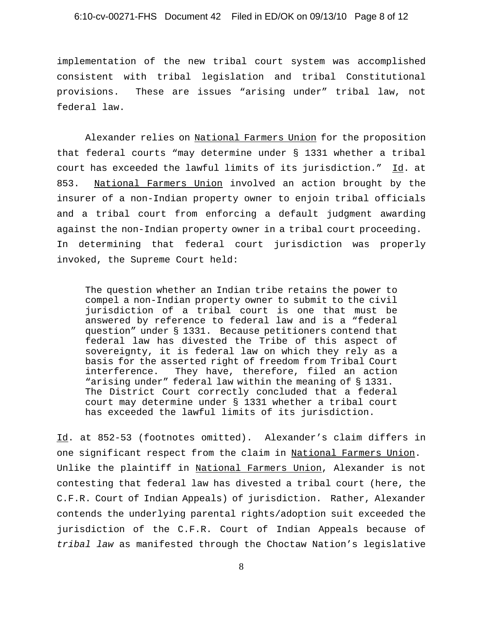implementation of the new tribal court system was accomplished consistent with tribal legislation and tribal Constitutional provisions. These are issues "arising under" tribal law, not federal law.

Alexander relies on National Farmers Union for the proposition that federal courts "may determine under § 1331 whether a tribal court has exceeded the lawful limits of its jurisdiction." Id. at 853. National Farmers Union involved an action brought by the insurer of a non-Indian property owner to enjoin tribal officials and a tribal court from enforcing a default judgment awarding against the non-Indian property owner in a tribal court proceeding. In determining that federal court jurisdiction was properly invoked, the Supreme Court held:

The question whether an Indian tribe retains the power to compel a non-Indian property owner to submit to the civil jurisdiction of a tribal court is one that must be answered by reference to federal law and is a "federal question" under § 1331. Because petitioners contend that federal law has divested the Tribe of this aspect of sovereignty, it is federal law on which they rely as a basis for the asserted right of freedom from Tribal Court interference. They have, therefore, filed an action "arising under" federal law within the meaning of § 1331. The District Court correctly concluded that a federal court may determine under § 1331 whether a tribal court has exceeded the lawful limits of its jurisdiction.

Id. at 852-53 (footnotes omitted). Alexander's claim differs in one significant respect from the claim in National Farmers Union. Unlike the plaintiff in National Farmers Union, Alexander is not contesting that federal law has divested a tribal court (here, the C.F.R. Court of Indian Appeals) of jurisdiction. Rather, Alexander contends the underlying parental rights/adoption suit exceeded the jurisdiction of the C.F.R. Court of Indian Appeals because of *tribal law* as manifested through the Choctaw Nation's legislative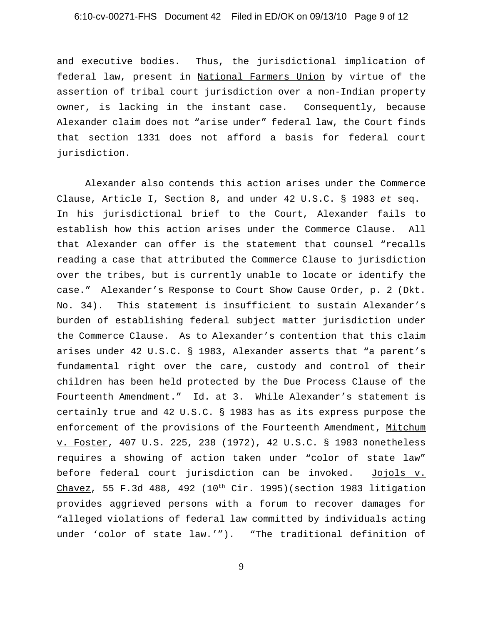# 6:10-cv-00271-FHS Document 42 Filed in ED/OK on 09/13/10 Page 9 of 12

and executive bodies. Thus, the jurisdictional implication of federal law, present in National Farmers Union by virtue of the assertion of tribal court jurisdiction over a non-Indian property owner, is lacking in the instant case. Consequently, because Alexander claim does not "arise under" federal law, the Court finds that section 1331 does not afford a basis for federal court jurisdiction.

Alexander also contends this action arises under the Commerce Clause, Article I, Section 8, and under 42 U.S.C. § 1983 *et* seq. In his jurisdictional brief to the Court, Alexander fails to establish how this action arises under the Commerce Clause. All that Alexander can offer is the statement that counsel "recalls reading a case that attributed the Commerce Clause to jurisdiction over the tribes, but is currently unable to locate or identify the case." Alexander's Response to Court Show Cause Order, p. 2 (Dkt. No. 34). This statement is insufficient to sustain Alexander's burden of establishing federal subject matter jurisdiction under the Commerce Clause. As to Alexander's contention that this claim arises under 42 U.S.C. § 1983, Alexander asserts that "a parent's fundamental right over the care, custody and control of their children has been held protected by the Due Process Clause of the Fourteenth Amendment." Id. at 3. While Alexander's statement is certainly true and 42 U.S.C. § 1983 has as its express purpose the enforcement of the provisions of the Fourteenth Amendment, Mitchum v. Foster, 407 U.S. 225, 238 (1972), 42 U.S.C. § 1983 nonetheless requires a showing of action taken under "color of state law" before federal court jurisdiction can be invoked. Jojols v. Chavez, 55 F.3d 488, 492 (10<sup>th</sup> Cir. 1995)(section 1983 litigation provides aggrieved persons with a forum to recover damages for "alleged violations of federal law committed by individuals acting under 'color of state law.'"). "The traditional definition of

9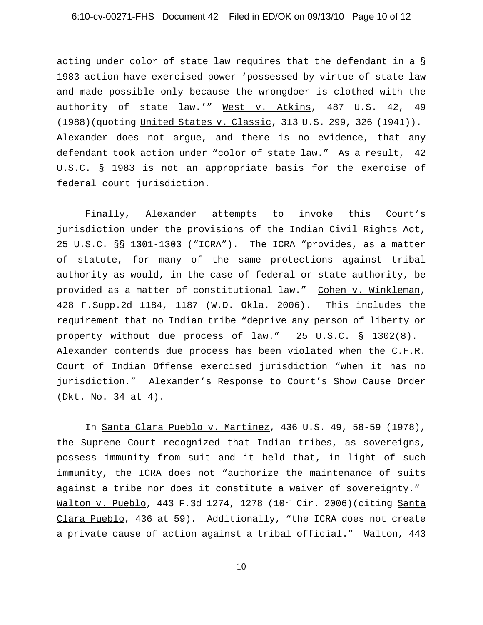# 6:10-cv-00271-FHS Document 42 Filed in ED/OK on 09/13/10 Page 10 of 12

acting under color of state law requires that the defendant in a § 1983 action have exercised power 'possessed by virtue of state law and made possible only because the wrongdoer is clothed with the authority of state law.'" West v. Atkins, 487 U.S. 42, 49 (1988)(quoting United States v. Classic, 313 U.S. 299, 326 (1941)). Alexander does not argue, and there is no evidence, that any defendant took action under "color of state law." As a result, 42 U.S.C. § 1983 is not an appropriate basis for the exercise of federal court jurisdiction.

Finally, Alexander attempts to invoke this Court's jurisdiction under the provisions of the Indian Civil Rights Act, 25 U.S.C. §§ 1301-1303 ("ICRA"). The ICRA "provides, as a matter of statute, for many of the same protections against tribal authority as would, in the case of federal or state authority, be provided as a matter of constitutional law." Cohen v. Winkleman, 428 F.Supp.2d 1184, 1187 (W.D. Okla. 2006). This includes the requirement that no Indian tribe "deprive any person of liberty or property without due process of law." 25 U.S.C. § 1302(8). Alexander contends due process has been violated when the C.F.R. Court of Indian Offense exercised jurisdiction "when it has no jurisdiction." Alexander's Response to Court's Show Cause Order (Dkt. No. 34 at 4).

In Santa Clara Pueblo v. Martinez, 436 U.S. 49, 58-59 (1978), the Supreme Court recognized that Indian tribes, as sovereigns, possess immunity from suit and it held that, in light of such immunity, the ICRA does not "authorize the maintenance of suits against a tribe nor does it constitute a waiver of sovereignty." Walton v. Pueblo, 443 F.3d 1274, 1278 (10<sup>th</sup> Cir. 2006)(citing Santa Clara Pueblo, 436 at 59). Additionally, "the ICRA does not create a private cause of action against a tribal official." Walton, 443

10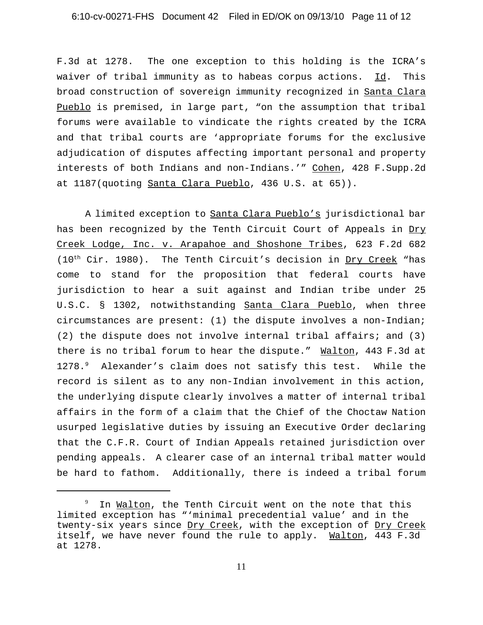### 6:10-cv-00271-FHS Document 42 Filed in ED/OK on 09/13/10 Page 11 of 12

F.3d at 1278. The one exception to this holding is the ICRA's waiver of tribal immunity as to habeas corpus actions.  $\underline{Id}$ . This broad construction of sovereign immunity recognized in Santa Clara Pueblo is premised, in large part, "on the assumption that tribal forums were available to vindicate the rights created by the ICRA and that tribal courts are 'appropriate forums for the exclusive adjudication of disputes affecting important personal and property interests of both Indians and non-Indians.'" Cohen, 428 F.Supp.2d at 1187(quoting Santa Clara Pueblo, 436 U.S. at 65)).

A limited exception to Santa Clara Pueblo's jurisdictional bar has been recognized by the Tenth Circuit Court of Appeals in Dry Creek Lodge, Inc. v. Arapahoe and Shoshone Tribes, 623 F.2d 682  $(10<sup>th</sup> Cir. 1980)$ . The Tenth Circuit's decision in Dry Creek "has come to stand for the proposition that federal courts have jurisdiction to hear a suit against and Indian tribe under 25 U.S.C. § 1302, notwithstanding Santa Clara Pueblo, when three circumstances are present: (1) the dispute involves a non-Indian; (2) the dispute does not involve internal tribal affairs; and (3) there is no tribal forum to hear the dispute." Walton, 443 F.3d at 1278.<sup>9</sup> Alexander's claim does not satisfy this test. While the record is silent as to any non-Indian involvement in this action, the underlying dispute clearly involves a matter of internal tribal affairs in the form of a claim that the Chief of the Choctaw Nation usurped legislative duties by issuing an Executive Order declaring that the C.F.R. Court of Indian Appeals retained jurisdiction over pending appeals. A clearer case of an internal tribal matter would be hard to fathom. Additionally, there is indeed a tribal forum

<sup>9</sup> In Walton, the Tenth Circuit went on the note that this limited exception has "'minimal precedential value' and in the twenty-six years since Dry Creek, with the exception of Dry Creek itself, we have never found the rule to apply. Walton, 443 F.3d at 1278.